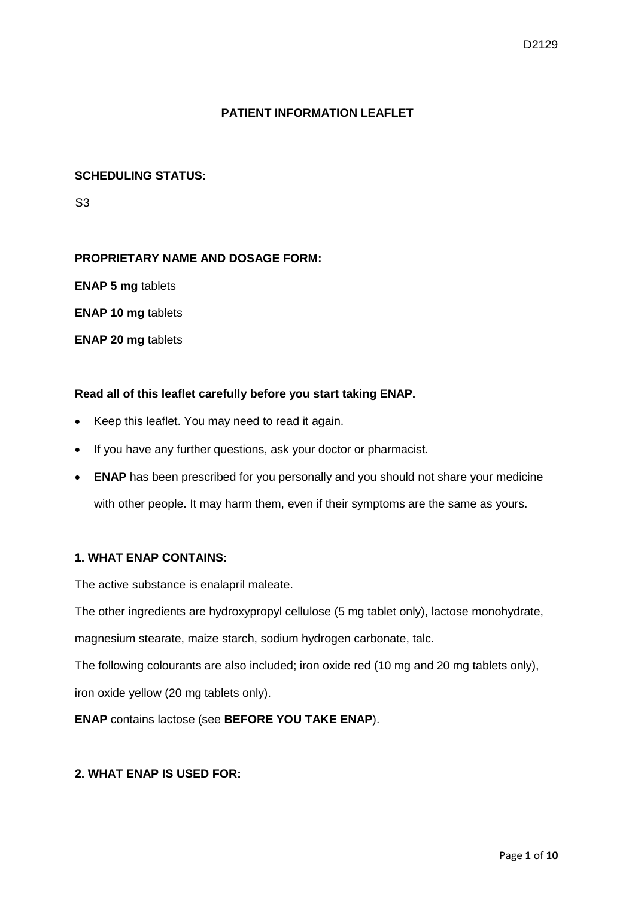# **PATIENT INFORMATION LEAFLET**

## **SCHEDULING STATUS:**

S3

## **PROPRIETARY NAME AND DOSAGE FORM:**

**ENAP 5 mg** tablets

**ENAP 10 mg** tablets

**ENAP 20 mg** tablets

## **Read all of this leaflet carefully before you start taking ENAP.**

- Keep this leaflet. You may need to read it again.
- If you have any further questions, ask your doctor or pharmacist.
- **ENAP** has been prescribed for you personally and you should not share your medicine with other people. It may harm them, even if their symptoms are the same as yours.

#### **1. WHAT ENAP CONTAINS:**

The active substance is enalapril maleate.

The other ingredients are hydroxypropyl cellulose (5 mg tablet only), lactose monohydrate,

magnesium stearate, maize starch, sodium hydrogen carbonate, talc.

The following colourants are also included; iron oxide red (10 mg and 20 mg tablets only), iron oxide yellow (20 mg tablets only).

**ENAP** contains lactose (see **BEFORE YOU TAKE ENAP**).

## **2. WHAT ENAP IS USED FOR:**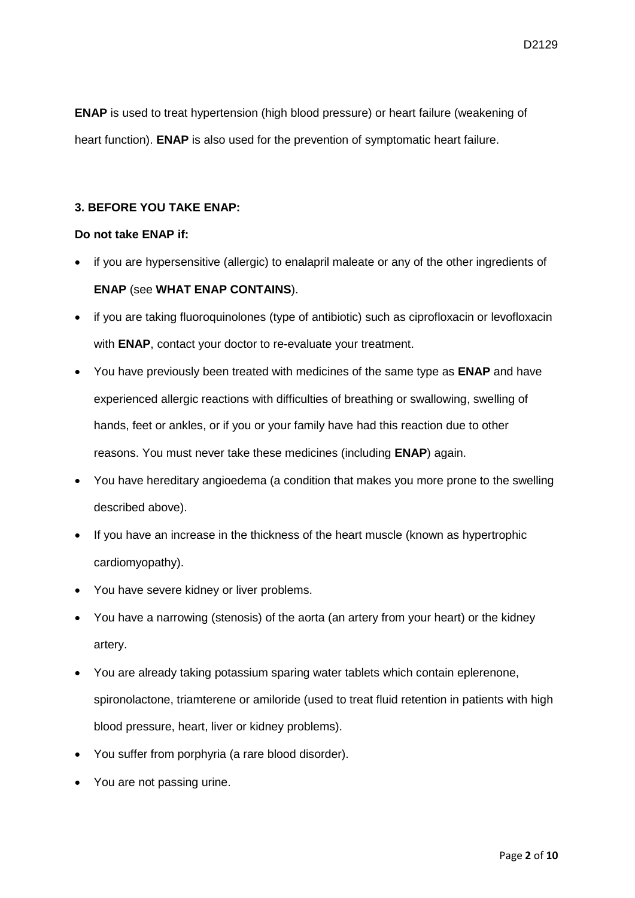**ENAP** is used to treat hypertension (high blood pressure) or heart failure (weakening of heart function). **ENAP** is also used for the prevention of symptomatic heart failure.

## **3. BEFORE YOU TAKE ENAP:**

## **Do not take ENAP if:**

- if you are hypersensitive (allergic) to enalapril maleate or any of the other ingredients of **ENAP** (see **WHAT ENAP CONTAINS**).
- if you are taking fluoroquinolones (type of antibiotic) such as ciprofloxacin or levofloxacin with **ENAP**, contact your doctor to re-evaluate your treatment.
- You have previously been treated with medicines of the same type as **ENAP** and have experienced allergic reactions with difficulties of breathing or swallowing, swelling of hands, feet or ankles, or if you or your family have had this reaction due to other reasons. You must never take these medicines (including **ENAP**) again.
- You have hereditary angioedema (a condition that makes you more prone to the swelling described above).
- If you have an increase in the thickness of the heart muscle (known as hypertrophic cardiomyopathy).
- You have severe kidney or liver problems.
- You have a narrowing (stenosis) of the aorta (an artery from your heart) or the kidney artery.
- You are already taking potassium sparing water tablets which contain eplerenone, spironolactone, triamterene or amiloride (used to treat fluid retention in patients with high blood pressure, heart, liver or kidney problems).
- You suffer from porphyria (a rare blood disorder).
- You are not passing urine.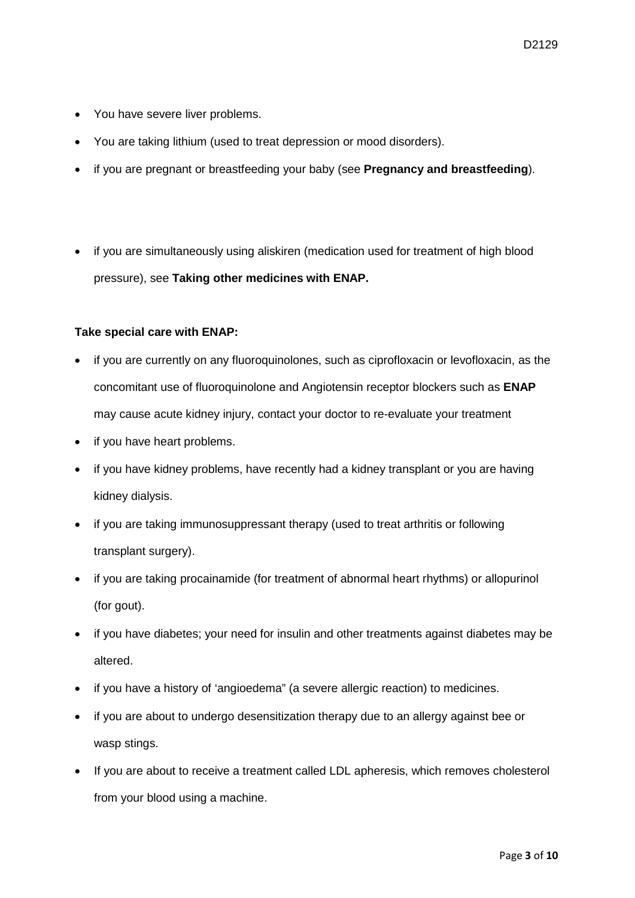- You have severe liver problems.
- You are taking lithium (used to treat depression or mood disorders).
- if you are pregnant or breastfeeding your baby (see **Pregnancy and breastfeeding**).
- if you are simultaneously using aliskiren (medication used for treatment of high blood pressure), see **Taking other medicines with ENAP.**

## **Take special care with ENAP:**

- if you are currently on any fluoroquinolones, such as ciprofloxacin or levofloxacin, as the concomitant use of fluoroquinolone and Angiotensin receptor blockers such as **ENAP** may cause acute kidney injury, contact your doctor to re-evaluate your treatment
- if you have heart problems.
- if you have kidney problems, have recently had a kidney transplant or you are having kidney dialysis.
- if you are taking immunosuppressant therapy (used to treat arthritis or following transplant surgery).
- if you are taking procainamide (for treatment of abnormal heart rhythms) or allopurinol (for gout).
- if you have diabetes; your need for insulin and other treatments against diabetes may be altered.
- if you have a history of 'angioedema" (a severe allergic reaction) to medicines.
- if you are about to undergo desensitization therapy due to an allergy against bee or wasp stings.
- If you are about to receive a treatment called LDL apheresis, which removes cholesterol from your blood using a machine.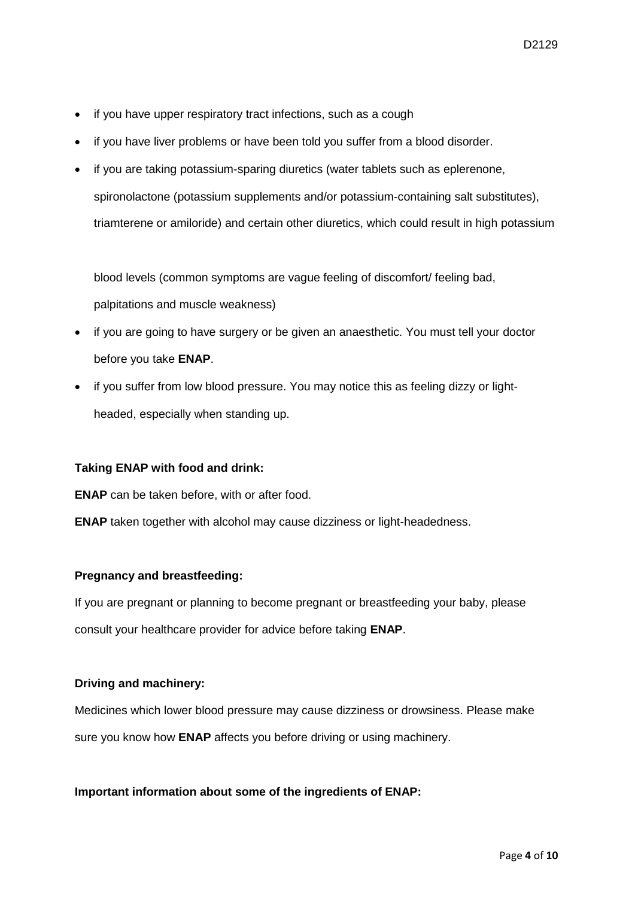- if you have upper respiratory tract infections, such as a cough
- if you have liver problems or have been told you suffer from a blood disorder.
- if you are taking potassium-sparing diuretics (water tablets such as eplerenone, spironolactone (potassium supplements and/or potassium-containing salt substitutes), triamterene or amiloride) and certain other diuretics, which could result in high potassium

blood levels (common symptoms are vague feeling of discomfort/ feeling bad, palpitations and muscle weakness)

- if you are going to have surgery or be given an anaesthetic. You must tell your doctor before you take **ENAP**.
- if you suffer from low blood pressure. You may notice this as feeling dizzy or lightheaded, especially when standing up.

#### **Taking ENAP with food and drink:**

**ENAP** can be taken before, with or after food.

**ENAP** taken together with alcohol may cause dizziness or light-headedness.

#### **Pregnancy and breastfeeding:**

If you are pregnant or planning to become pregnant or breastfeeding your baby, please consult your healthcare provider for advice before taking **ENAP**.

#### **Driving and machinery:**

Medicines which lower blood pressure may cause dizziness or drowsiness. Please make sure you know how **ENAP** affects you before driving or using machinery.

#### **Important information about some of the ingredients of ENAP:**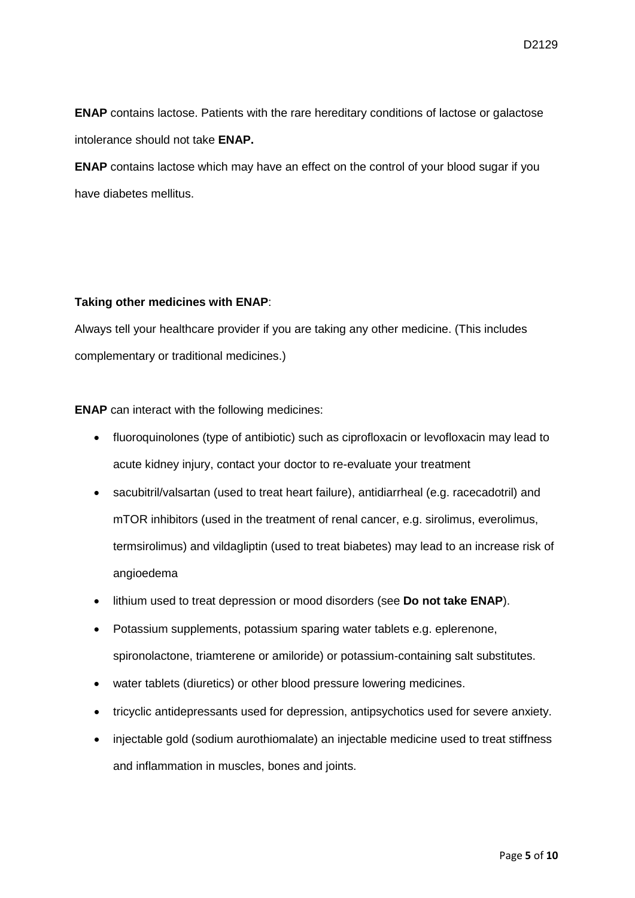**ENAP** contains lactose. Patients with the rare hereditary conditions of lactose or galactose intolerance should not take **ENAP.**

**ENAP** contains lactose which may have an effect on the control of your blood sugar if you have diabetes mellitus.

## **Taking other medicines with ENAP**:

Always tell your healthcare provider if you are taking any other medicine. (This includes complementary or traditional medicines.)

**ENAP** can interact with the following medicines:

- fluoroquinolones (type of antibiotic) such as ciprofloxacin or levofloxacin may lead to acute kidney injury, contact your doctor to re-evaluate your treatment
- sacubitril/valsartan (used to treat heart failure), antidiarrheal (e.g. racecadotril) and mTOR inhibitors (used in the treatment of renal cancer, e.g. sirolimus, everolimus, termsirolimus) and vildagliptin (used to treat biabetes) may lead to an increase risk of angioedema
- lithium used to treat depression or mood disorders (see **Do not take ENAP**).
- Potassium supplements, potassium sparing water tablets e.g. eplerenone, spironolactone, triamterene or amiloride) or potassium-containing salt substitutes.
- water tablets (diuretics) or other blood pressure lowering medicines.
- tricyclic antidepressants used for depression, antipsychotics used for severe anxiety.
- injectable gold (sodium aurothiomalate) an injectable medicine used to treat stiffness and inflammation in muscles, bones and joints.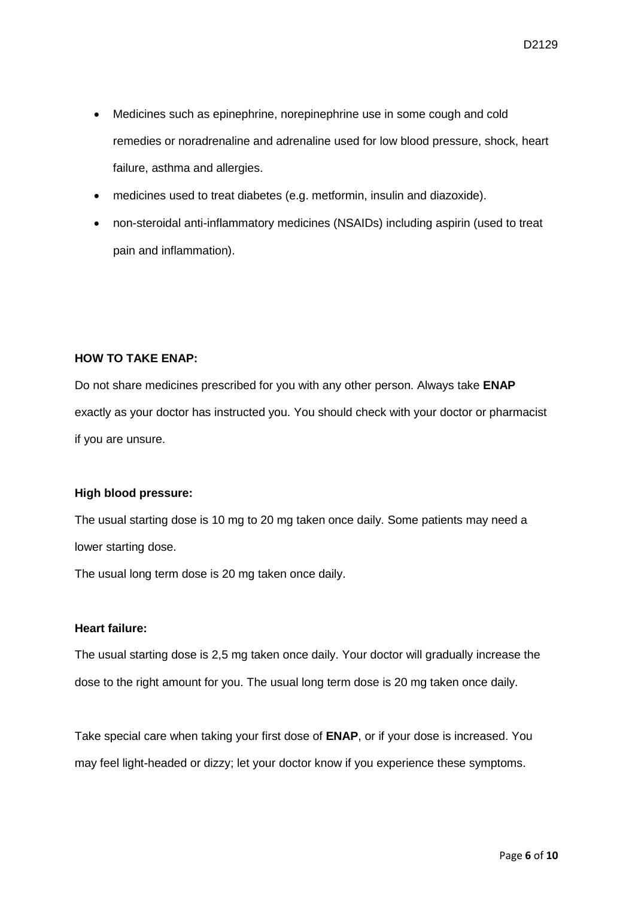- Medicines such as epinephrine, norepinephrine use in some cough and cold remedies or noradrenaline and adrenaline used for low blood pressure, shock, heart failure, asthma and allergies.
- medicines used to treat diabetes (e.g. metformin, insulin and diazoxide).
- non-steroidal anti-inflammatory medicines (NSAIDs) including aspirin (used to treat pain and inflammation).

## **HOW TO TAKE ENAP:**

Do not share medicines prescribed for you with any other person. Always take **ENAP** exactly as your doctor has instructed you. You should check with your doctor or pharmacist if you are unsure.

#### **High blood pressure:**

The usual starting dose is 10 mg to 20 mg taken once daily. Some patients may need a lower starting dose.

The usual long term dose is 20 mg taken once daily.

## **Heart failure:**

The usual starting dose is 2,5 mg taken once daily. Your doctor will gradually increase the dose to the right amount for you. The usual long term dose is 20 mg taken once daily.

Take special care when taking your first dose of **ENAP**, or if your dose is increased. You may feel light-headed or dizzy; let your doctor know if you experience these symptoms.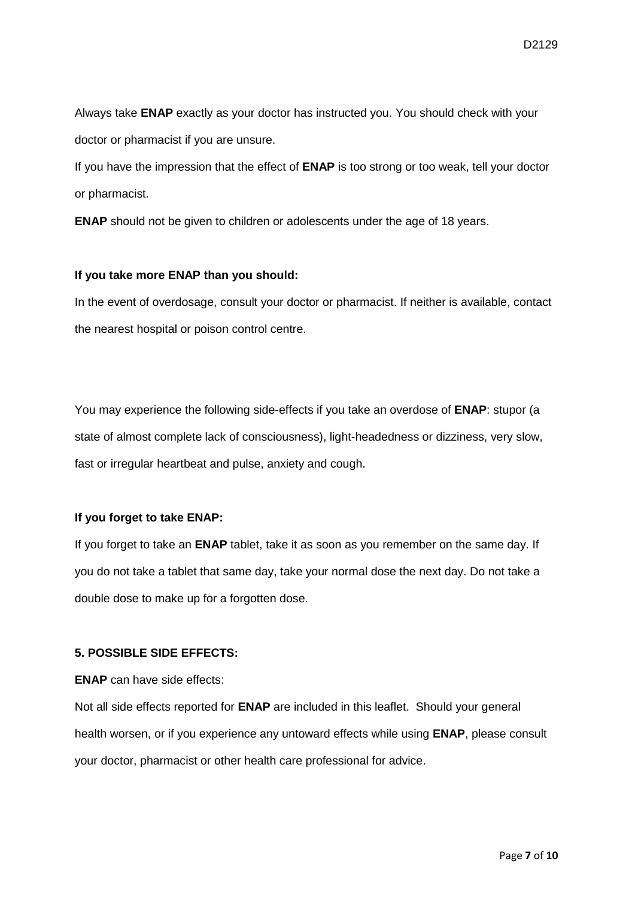Always take **ENAP** exactly as your doctor has instructed you. You should check with your doctor or pharmacist if you are unsure.

If you have the impression that the effect of **ENAP** is too strong or too weak, tell your doctor or pharmacist.

**ENAP** should not be given to children or adolescents under the age of 18 years.

#### **If you take more ENAP than you should:**

In the event of overdosage, consult your doctor or pharmacist. If neither is available, contact the nearest hospital or poison control centre.

You may experience the following side-effects if you take an overdose of **ENAP**: stupor (a state of almost complete lack of consciousness), light-headedness or dizziness, very slow, fast or irregular heartbeat and pulse, anxiety and cough.

## **If you forget to take ENAP:**

If you forget to take an **ENAP** tablet, take it as soon as you remember on the same day. If you do not take a tablet that same day, take your normal dose the next day. Do not take a double dose to make up for a forgotten dose.

## **5. POSSIBLE SIDE EFFECTS:**

**ENAP** can have side effects:

Not all side effects reported for **ENAP** are included in this leaflet. Should your general health worsen, or if you experience any untoward effects while using **ENAP**, please consult your doctor, pharmacist or other health care professional for advice.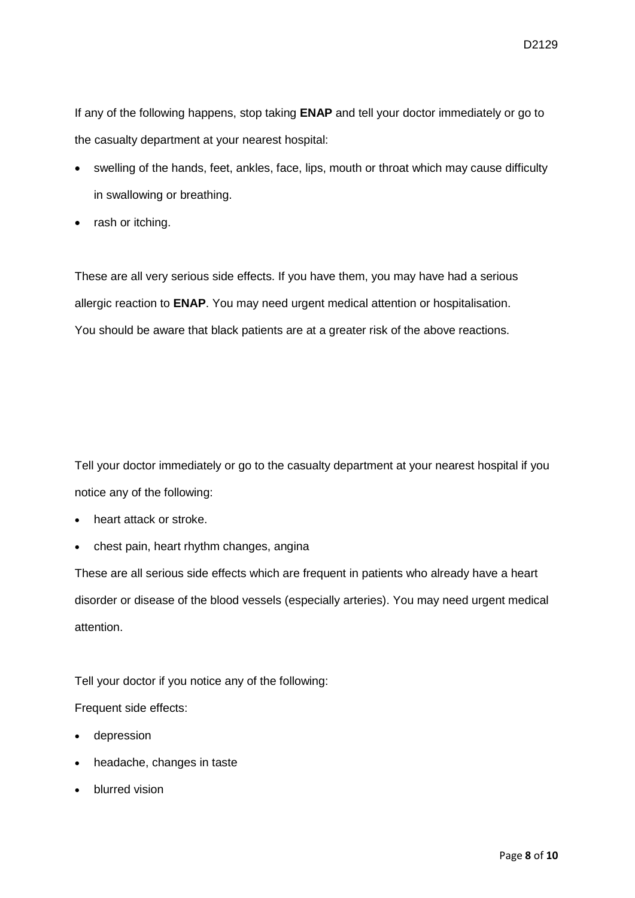If any of the following happens, stop taking **ENAP** and tell your doctor immediately or go to the casualty department at your nearest hospital:

- swelling of the hands, feet, ankles, face, lips, mouth or throat which may cause difficulty in swallowing or breathing.
- rash or itching.

These are all very serious side effects. If you have them, you may have had a serious allergic reaction to **ENAP**. You may need urgent medical attention or hospitalisation. You should be aware that black patients are at a greater risk of the above reactions.

Tell your doctor immediately or go to the casualty department at your nearest hospital if you notice any of the following:

- heart attack or stroke.
- chest pain, heart rhythm changes, angina

These are all serious side effects which are frequent in patients who already have a heart disorder or disease of the blood vessels (especially arteries). You may need urgent medical attention.

Tell your doctor if you notice any of the following:

Frequent side effects:

- depression
- headache, changes in taste
- blurred vision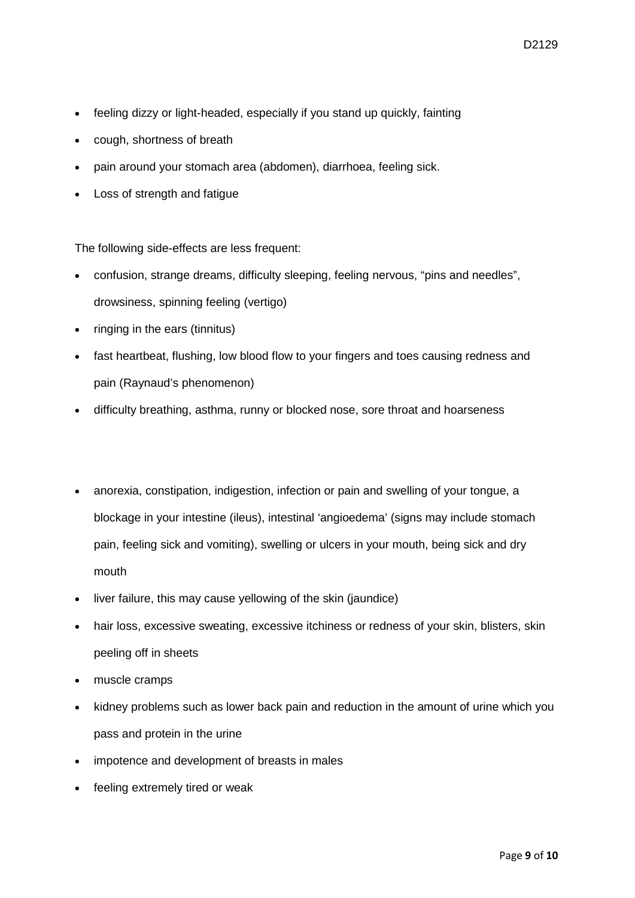- feeling dizzy or light-headed, especially if you stand up quickly, fainting
- cough, shortness of breath
- pain around your stomach area (abdomen), diarrhoea, feeling sick.
- Loss of strength and fatigue

The following side-effects are less frequent:

- confusion, strange dreams, difficulty sleeping, feeling nervous, "pins and needles", drowsiness, spinning feeling (vertigo)
- ringing in the ears (tinnitus)
- fast heartbeat, flushing, low blood flow to your fingers and toes causing redness and pain (Raynaud's phenomenon)
- difficulty breathing, asthma, runny or blocked nose, sore throat and hoarseness
- anorexia, constipation, indigestion, infection or pain and swelling of your tongue, a blockage in your intestine (ileus), intestinal 'angioedema' (signs may include stomach pain, feeling sick and vomiting), swelling or ulcers in your mouth, being sick and dry mouth
- liver failure, this may cause yellowing of the skin (jaundice)
- hair loss, excessive sweating, excessive itchiness or redness of your skin, blisters, skin peeling off in sheets
- muscle cramps
- kidney problems such as lower back pain and reduction in the amount of urine which you pass and protein in the urine
- impotence and development of breasts in males
- feeling extremely tired or weak